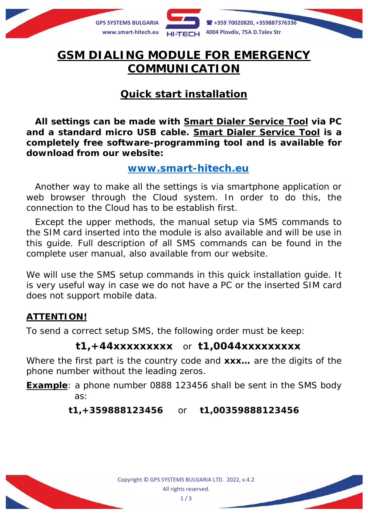

# **GSM DIALING MODULE FOR EMERGENCY COMMUNICATION**

# **Quick start installation**

**All settings can be made with** *Smart Dialer Service Tool* **via PC and a standard micro USB cable.** *Smart Dialer Service Tool* **is a completely free software-programming tool and is available for download from our website:**

#### **[www.smart-hitech.eu](http://www.smart-hitech.eu/)**

Another way to make all the settings is via smartphone application or web browser through the *Cloud* system. In order to do this, the connection to the *Cloud* has to be establish first.

Except the upper methods, the manual setup via SMS commands to the SIM card inserted into the module is also available and will be use in this guide. Full description of all SMS commands can be found in the complete user manual, also available from our website.

We will use the SMS setup commands in this quick installation guide. It is very useful way in case we do not have a PC or the inserted SIM card does not support mobile data.

#### **ATTENTION!**

To send a correct setup SMS, the following order must be keep:

## **t1,+44xxxxxxxxx** or **t1,0044xxxxxxxxx**

Where the first part is the country code and **xxx…** are the digits of the phone number without the leading zeros.

**Example**: a phone number 0888 123456 shall be sent in the SMS body as:

**t1,+359888123456** or **t1,00359888123456**

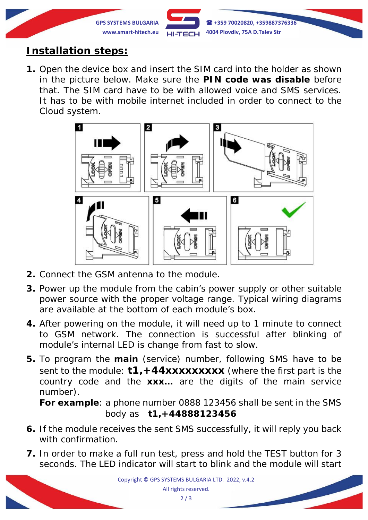

# **Installation steps:**

**1.** Open the device box and insert the SIM card into the holder as shown in the picture below. Make sure the **PIN code was disable** before that. The SIM card have to be with allowed voice and SMS services. It has to be with mobile internet included in order to connect to the *Cloud* system.



- **2.** Connect the GSM antenna to the module.
- **3.** Power up the module from the cabin's power supply or other suitable power source with the proper voltage range. Typical wiring diagrams are available at the bottom of each module's box.
- **4.** After powering on the module, it will need up to 1 minute to connect to GSM network. The connection is successful after blinking of module's internal LED is change from fast to slow.
- **5.** To program the **main** (service) number, following SMS have to be sent to the module: **t1,+44xxxxxxxxx** (*where the first part is the country code and the xxx… are the digits of the main service number*).

**For example**: a phone number 0888 123456 shall be sent in the SMS body as **t1,+44888123456**

- **6.** If the module receives the sent SMS successfully, it will reply you back with confirmation.
- **7.** In order to make a full run test, press and hold the TEST button for 3 seconds. The LED indicator will start to blink and the module will start

Copyright © GPS SYSTEMS BULGARIA LTD. 2022, v.4.2 All rights reserved.